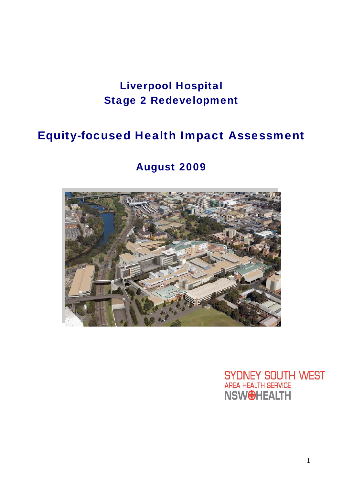# Liverpool Hospital Stage 2 Redevelopment

# Equity-focused Health Impact Assessment

# August 2009



**SYDNEY SOUTH WEST** AREA HEALTH SERVICE **NSWOHEALTH**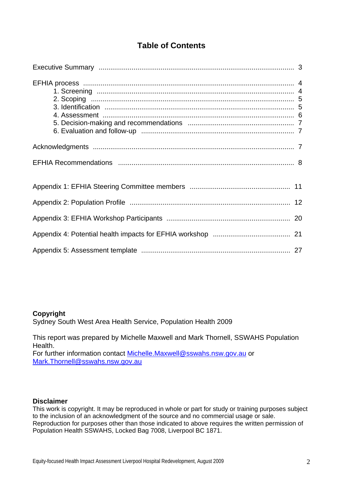# **Table of Contents**

#### **Copyright**

Sydney South West Area Health Service, Population Health 2009

This report was prepared by Michelle Maxwell and Mark Thornell, SSWAHS Population Health.

For further information contact Michelle.Maxwell@sswahs.nsw.gov.au or Mark.Thornell@sswahs.nsw.gov.au

#### **Disclaimer**

This work is copyright. It may be reproduced in whole or part for study or training purposes subject to the inclusion of an acknowledgment of the source and no commercial usage or sale. Reproduction for purposes other than those indicated to above requires the written permission of Population Health SSWAHS, Locked Bag 7008, Liverpool BC 1871.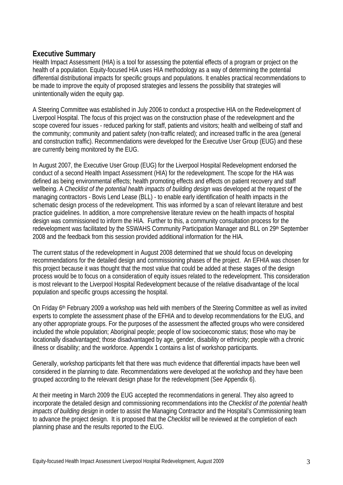### **Executive Summary**

Health Impact Assessment (HIA) is a tool for assessing the potential effects of a program or project on the health of a population. Equity-focused HIA uses HIA methodology as a way of determining the potential differential distributional impacts for specific groups and populations. It enables practical recommendations to be made to improve the equity of proposed strategies and lessens the possibility that strategies will unintentionally widen the equity gap.

A Steering Committee was established in July 2006 to conduct a prospective HIA on the Redevelopment of Liverpool Hospital. The focus of this project was on the construction phase of the redevelopment and the scope covered four issues - reduced parking for staff, patients and visitors; health and wellbeing of staff and the community; community and patient safety (non-traffic related); and increased traffic in the area (general and construction traffic). Recommendations were developed for the Executive User Group (EUG) and these are currently being monitored by the EUG.

In August 2007, the Executive User Group (EUG) for the Liverpool Hospital Redevelopment endorsed the conduct of a second Health Impact Assessment (HIA) for the redevelopment. The scope for the HIA was defined as being environmental effects; health promoting effects and effects on patient recovery and staff wellbeing. A *Checklist of the potential health impacts of building design* was developed at the request of the managing contractors - Bovis Lend Lease (BLL) - to enable early identification of health impacts in the schematic design process of the redevelopment. This was informed by a scan of relevant literature and best practice guidelines. In addition, a more comprehensive literature review on the health impacts of hospital design was commissioned to inform the HIA. Further to this, a community consultation process for the redevelopment was facilitated by the SSWAHS Community Participation Manager and BLL on 29th September 2008 and the feedback from this session provided additional information for the HIA.

The current status of the redevelopment in August 2008 determined that we should focus on developing recommendations for the detailed design and commissioning phases of the project. An EFHIA was chosen for this project because it was thought that the most value that could be added at these stages of the design process would be to focus on a consideration of equity issues related to the redevelopment. This consideration is most relevant to the Liverpool Hospital Redevelopment because of the relative disadvantage of the local population and specific groups accessing the hospital.

On Friday 6<sup>th</sup> February 2009 a workshop was held with members of the Steering Committee as well as invited experts to complete the assessment phase of the EFHIA and to develop recommendations for the EUG, and any other appropriate groups. For the purposes of the assessment the affected groups who were considered included the whole population; Aboriginal people; people of low socioeconomic status; those who may be locationally disadvantaged; those disadvantaged by age, gender, disability or ethnicity; people with a chronic illness or disability; and the workforce. Appendix 1 contains a list of workshop participants.

Generally, workshop participants felt that there was much evidence that differential impacts have been well considered in the planning to date. Recommendations were developed at the workshop and they have been grouped according to the relevant design phase for the redevelopment (See Appendix 6).

At their meeting in March 2009 the EUG accepted the recommendations in general. They also agreed to incorporate the detailed design and commissioning recommendations into the *Checklist of the potential health impacts of building design* in order to assist the Managing Contractor and the Hospital's Commissioning team to advance the project design. It is proposed that the *Checklist* will be reviewed at the completion of each planning phase and the results reported to the EUG.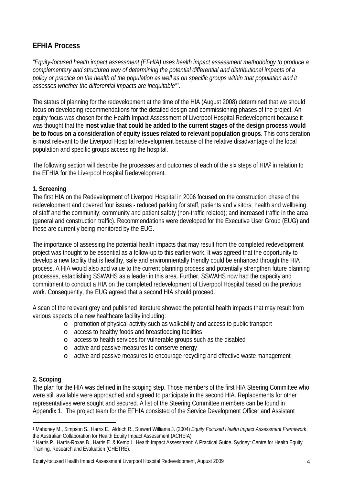# **EFHIA Process**

*"Equity-focused health impact assessment (EFHIA) uses health impact assessment methodology to produce a complementary and structured way of determining the potential differential and distributional impacts of a policy or practice on the health of the population as well as on specific groups within that population and it assesses whether the differential impacts are inequitable"1.* 

The status of planning for the redevelopment at the time of the HIA (August 2008) determined that we should focus on developing recommendations for the detailed design and commissioning phases of the project. An equity focus was chosen for the Health Impact Assessment of Liverpool Hospital Redevelopment because it was thought that the **most value that could be added to the current stages of the design process would be to focus on a consideration of equity issues related to relevant population groups**. This consideration is most relevant to the Liverpool Hospital redevelopment because of the relative disadvantage of the local population and specific groups accessing the hospital.

The following section will describe the processes and outcomes of each of the six steps of HIA2 in relation to the EFHIA for the Liverpool Hospital Redevelopment.

### **1. Screening**

The first HIA on the Redevelopment of Liverpool Hospital in 2006 focused on the construction phase of the redevelopment and covered four issues - reduced parking for staff, patients and visitors; health and wellbeing of staff and the community; community and patient safety (non-traffic related); and increased traffic in the area (general and construction traffic). Recommendations were developed for the Executive User Group (EUG) and these are currently being monitored by the EUG.

The importance of assessing the potential health impacts that may result from the completed redevelopment project was thought to be essential as a follow-up to this earlier work. It was agreed that the opportunity to develop a new facility that is healthy, safe and environmentally friendly could be enhanced through the HIA process. A HIA would also add value to the current planning process and potentially strengthen future planning processes, establishing SSWAHS as a leader in this area. Further, SSWAHS now had the capacity and commitment to conduct a HIA on the completed redevelopment of Liverpool Hospital based on the previous work. Consequently, the EUG agreed that a second HIA should proceed.

A scan of the relevant grey and published literature showed the potential health impacts that may result from various aspects of a new healthcare facility including:

- o promotion of physical activity such as walkability and access to public transport
- o access to healthy foods and breastfeeding facilities
- o access to health services for vulnerable groups such as the disabled
- o active and passive measures to conserve energy
- o active and passive measures to encourage recycling and effective waste management

### **2. Scoping**

The plan for the HIA was defined in the scoping step. Those members of the first HIA Steering Committee who were still available were approached and agreed to participate in the second HIA. Replacements for other representatives were sought and secured. A list of the Steering Committee members can be found in Appendix 1. The project team for the EFHIA consisted of the Service Development Officer and Assistant

 $\overline{a}$ 1 Mahoney M., Simpson S., Harris E., Aldrich R., Stewart Williams J. (2004) *Equity Focused Health Impact Assessment Framework*, the Australian Collaboration for Health Equity Impact Assessment (ACHEIA)

<sup>&</sup>lt;sup>2</sup> Harris P., Harris-Roxas B., Harris E. & Kemp L. Health Impact Assessment: A Practical Guide, Sydney: Centre for Health Equity Training, Research and Evaluation (CHETRE).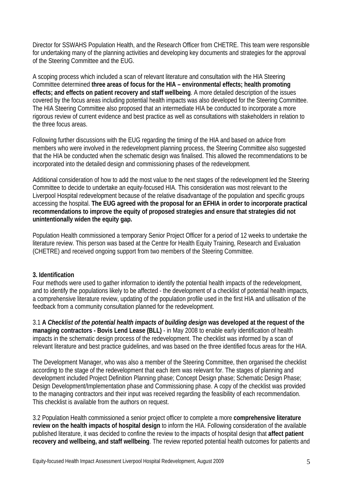Director for SSWAHS Population Health, and the Research Officer from CHETRE. This team were responsible for undertaking many of the planning activities and developing key documents and strategies for the approval of the Steering Committee and the EUG.

A scoping process which included a scan of relevant literature and consultation with the HIA Steering Committee determined **three areas of focus for the HIA – environmental effects; health promoting effects; and effects on patient recovery and staff wellbeing**. A more detailed description of the issues covered by the focus areas including potential health impacts was also developed for the Steering Committee. The HIA Steering Committee also proposed that an intermediate HIA be conducted to incorporate a more rigorous review of current evidence and best practice as well as consultations with stakeholders in relation to the three focus areas.

Following further discussions with the EUG regarding the timing of the HIA and based on advice from members who were involved in the redevelopment planning process, the Steering Committee also suggested that the HIA be conducted when the schematic design was finalised. This allowed the recommendations to be incorporated into the detailed design and commissioning phases of the redevelopment.

Additional consideration of how to add the most value to the next stages of the redevelopment led the Steering Committee to decide to undertake an equity-focused HIA. This consideration was most relevant to the Liverpool Hospital redevelopment because of the relative disadvantage of the population and specific groups accessing the hospital. **The EUG agreed with the proposal for an EFHIA in order to incorporate practical recommendations to improve the equity of proposed strategies and ensure that strategies did not unintentionally widen the equity gap.** 

Population Health commissioned a temporary Senior Project Officer for a period of 12 weeks to undertake the literature review. This person was based at the Centre for Health Equity Training, Research and Evaluation (CHETRE) and received ongoing support from two members of the Steering Committee.

### **3. Identification**

Four methods were used to gather information to identify the potential health impacts of the redevelopment, and to identify the populations likely to be affected - the development of a checklist of potential health impacts, a comprehensive literature review, updating of the population profile used in the first HIA and utilisation of the feedback from a community consultation planned for the redevelopment.

3.1 **A** *Checklist of the potential health impacts of building design* **was developed at the request of the managing contractors - Bovis Lend Lease (BLL)** - in May 2008 to enable early identification of health impacts in the schematic design process of the redevelopment. The checklist was informed by a scan of relevant literature and best practice guidelines, and was based on the three identified focus areas for the HIA.

The Development Manager, who was also a member of the Steering Committee, then organised the checklist according to the stage of the redevelopment that each item was relevant for. The stages of planning and development included Project Definition Planning phase; Concept Design phase; Schematic Design Phase; Design Development/Implementation phase and Commissioning phase. A copy of the checklist was provided to the managing contractors and their input was received regarding the feasibility of each recommendation. This checklist is available from the authors on request.

3.2 Population Health commissioned a senior project officer to complete a more **comprehensive literature review on the health impacts of hospital design** to inform the HIA. Following consideration of the available published literature, it was decided to confine the review to the impacts of hospital design that **affect patient recovery and wellbeing, and staff wellbeing**. The review reported potential health outcomes for patients and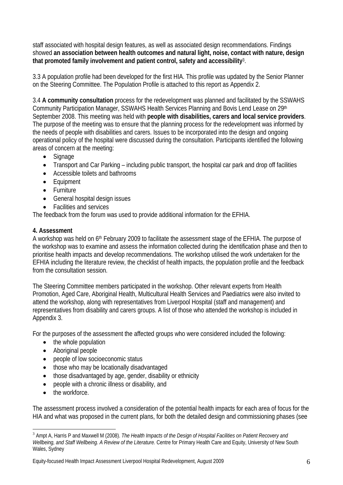staff associated with hospital design features, as well as associated design recommendations. Findings showed **an association between health outcomes and natural light, noise, contact with nature, design that promoted family involvement and patient control, safety and accessibility**3.

3.3 A population profile had been developed for the first HIA. This profile was updated by the Senior Planner on the Steering Committee. The Population Profile is attached to this report as Appendix 2.

3.4 **A community consultation** process for the redevelopment was planned and facilitated by the SSWAHS Community Participation Manager, SSWAHS Health Services Planning and Bovis Lend Lease on 29th September 2008. This meeting was held with **people with disabilities, carers and local service providers**. The purpose of the meeting was to ensure that the planning process for the redevelopment was informed by the needs of people with disabilities and carers. Issues to be incorporated into the design and ongoing operational policy of the hospital were discussed during the consultation. Participants identified the following areas of concern at the meeting:

- Signage
- Transport and Car Parking including public transport, the hospital car park and drop off facilities
- Accessible toilets and bathrooms
- Equipment
- Furniture
- General hospital design issues
- Facilities and services

The feedback from the forum was used to provide additional information for the EFHIA.

### **4. Assessment**

A workshop was held on 6th February 2009 to facilitate the assessment stage of the EFHIA. The purpose of the workshop was to examine and assess the information collected during the identification phase and then to prioritise health impacts and develop recommendations. The workshop utilised the work undertaken for the EFHIA including the literature review, the checklist of health impacts, the population profile and the feedback from the consultation session.

The Steering Committee members participated in the workshop. Other relevant experts from Health Promotion, Aged Care, Aboriginal Health, Multicultural Health Services and Paediatrics were also invited to attend the workshop, along with representatives from Liverpool Hospital (staff and management) and representatives from disability and carers groups. A list of those who attended the workshop is included in Appendix 3.

For the purposes of the assessment the affected groups who were considered included the following:

- the whole population
- Aboriginal people
- people of low socioeconomic status
- those who may be locationally disadvantaged
- those disadvantaged by age, gender, disability or ethnicity
- people with a chronic illness or disability, and
- the workforce.

 $\overline{a}$ 

The assessment process involved a consideration of the potential health impacts for each area of focus for the HIA and what was proposed in the current plans, for both the detailed design and commissioning phases (see

<sup>3</sup> Ampt A, Harris P and Maxwell M (2008). *The Health Impacts of the Design of Hospital Facilities on Patient Recovery and Wellbeing, and Staff Wellbeing. A Review of the Literature.* Centre for Primary Health Care and Equity, University of New South Wales, Sydney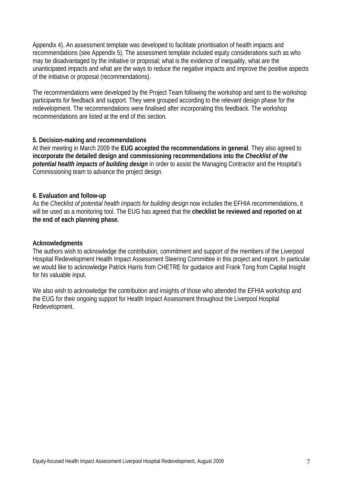Appendix 4). An assessment template was developed to facilitate prioritisation of health impacts and recommendations (see Appendix 5). The assessment template included equity considerations such as who may be disadvantaged by the initiative or proposal; what is the evidence of inequality, what are the unanticipated impacts and what are the ways to reduce the negative impacts and improve the positive aspects of the initiative or proposal (recommendations).

The recommendations were developed by the Project Team following the workshop and sent to the workshop participants for feedback and support. They were grouped according to the relevant design phase for the redevelopment. The recommendations were finalised after incorporating this feedback. The workshop recommendations are listed at the end of this section.

#### **5. Decision-making and recommendations**

At their meeting in March 2009 the **EUG accepted the recommendations in general**. They also agreed to **incorporate the detailed design and commissioning recommendations into the** *Checklist of the potential health impacts of building design* in order to assist the Managing Contractor and the Hospital's Commissioning team to advance the project design.

#### **6. Evaluation and follow-up**

As the *Checklist of potential health impacts for building design* now includes the EFHIA recommendations, it will be used as a monitoring tool. The EUG has agreed that the **checklist be reviewed and reported on at the end of each planning phase.** 

#### **Acknowledgments**

The authors wish to acknowledge the contribution, commitment and support of the members of the Liverpool Hospital Redevelopment Health Impact Assessment Steering Committee in this project and report. In particular we would like to acknowledge Patrick Harris from CHETRE for guidance and Frank Tong from Capital Insight for his valuable input.

We also wish to acknowledge the contribution and insights of those who attended the EFHIA workshop and the EUG for their ongoing support for Health Impact Assessment throughout the Liverpool Hospital Redevelopment.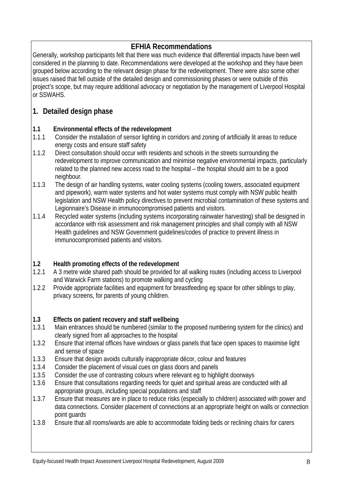# **EFHIA Recommendations**

Generally, workshop participants felt that there was much evidence that differential impacts have been well considered in the planning to date. Recommendations were developed at the workshop and they have been grouped below according to the relevant design phase for the redevelopment. There were also some other issues raised that fell outside of the detailed design and commissioning phases or were outside of this project's scope, but may require additional advocacy or negotiation by the management of Liverpool Hospital or SSWAHS.

# **1. Detailed design phase**

### **1.1 Environmental effects of the redevelopment**

- 1.1.1 Consider the installation of sensor lighting in corridors and zoning of artificially lit areas to reduce energy costs and ensure staff safety
- 1.1.2 Direct consultation should occur with residents and schools in the streets surrounding the redevelopment to improve communication and minimise negative environmental impacts, particularly related to the planned new access road to the hospital – the hospital should aim to be a good neighbour.
- 1.1.3 The design of air handling systems, water cooling systems (cooling towers, associated equipment and pipework), warm water systems and hot water systems must comply with NSW public health legislation and NSW Health policy directives to prevent microbial contamination of these systems and Legionnaire's Disease in immunocompromised patients and visitors.
- 1.1.4 Recycled water systems (including systems incorporating rainwater harvesting) shall be designed in accordance with risk assessment and risk management principles and shall comply with all NSW Health guidelines and NSW Government guidelines/codes of practice to prevent illness in immunocompromised patients and visitors.

### **1.2 Health promoting effects of the redevelopment**

- 1.2.1 A 3 metre wide shared path should be provided for all walking routes (including access to Liverpool and Warwick Farm stations) to promote walking and cycling
- 1.2.2 Provide appropriate facilities and equipment for breastfeeding eg space for other siblings to play, privacy screens, for parents of young children.

### **1.3 Effects on patient recovery and staff wellbeing**

- 1.3.1 Main entrances should be numbered (similar to the proposed numbering system for the clinics) and clearly signed from all approaches to the hospital
- 1.3.2 Ensure that internal offices have windows or glass panels that face open spaces to maximise light and sense of space
- 1.3.3 Ensure that design avoids culturally inappropriate décor, colour and features
- 1.3.4 Consider the placement of visual cues on glass doors and panels
- 1.3.5 Consider the use of contrasting colours where relevant eg to highlight doorways
- 1.3.6 Ensure that consultations regarding needs for quiet and spiritual areas are conducted with all appropriate groups, including special populations and staff
- 1.3.7 Ensure that measures are in place to reduce risks (especially to children) associated with power and data connections. Consider placement of connections at an appropriate height on walls or connection point guards
- 1.3.8 Ensure that all rooms/wards are able to accommodate folding beds or reclining chairs for carers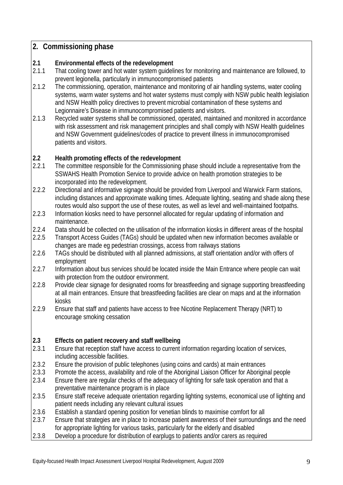# **2. Commissioning phase**

### **2.1 Environmental effects of the redevelopment**

- 2.1.1 That cooling tower and hot water system guidelines for monitoring and maintenance are followed, to prevent legionella, particularly in immunocompromised patients
- 2.1.2 The commissioning, operation, maintenance and monitoring of air handling systems, water cooling systems, warm water systems and hot water systems must comply with NSW public health legislation and NSW Health policy directives to prevent microbial contamination of these systems and Legionnaire's Disease in immunocompromised patients and visitors.
- 2.1.3 Recycled water systems shall be commissioned, operated, maintained and monitored in accordance with risk assessment and risk management principles and shall comply with NSW Health guidelines and NSW Government guidelines/codes of practice to prevent illness in immunocompromised patients and visitors.

## **2.2 Health promoting effects of the redevelopment**

- 2.2.1 The committee responsible for the Commissioning phase should include a representative from the SSWAHS Health Promotion Service to provide advice on health promotion strategies to be incorporated into the redevelopment.
- 2.2.2 Directional and informative signage should be provided from Liverpool and Warwick Farm stations, including distances and approximate walking times. Adequate lighting, seating and shade along these routes would also support the use of these routes, as well as level and well-maintained footpaths.
- 2.2.3 Information kiosks need to have personnel allocated for regular updating of information and maintenance.
- 2.2.4 Data should be collected on the utilisation of the information kiosks in different areas of the hospital
- 2.2.5 Transport Access Guides (TAGs) should be updated when new information becomes available or changes are made eg pedestrian crossings, access from railways stations
- 2.2.6 TAGs should be distributed with all planned admissions, at staff orientation and/or with offers of employment
- 2.2.7 Information about bus services should be located inside the Main Entrance where people can wait with protection from the outdoor environment.
- 2.2.8 Provide clear signage for designated rooms for breastfeeding and signage supporting breastfeeding at all main entrances. Ensure that breastfeeding facilities are clear on maps and at the information kiosks
- 2.2.9 Ensure that staff and patients have access to free Nicotine Replacement Therapy (NRT) to encourage smoking cessation

## **2.3 Effects on patient recovery and staff wellbeing**

- 2.3.1 Ensure that reception staff have access to current information regarding location of services, including accessible facilities.
- 2.3.2 Ensure the provision of public telephones (using coins and cards) at main entrances
- 2.3.3 Promote the access, availability and role of the Aboriginal Liaison Officer for Aboriginal people
- 2.3.4 Ensure there are regular checks of the adequacy of lighting for safe task operation and that a preventative maintenance program is in place
- 2.3.5 Ensure staff receive adequate orientation regarding lighting systems, economical use of lighting and patient needs including any relevant cultural issues
- 2.3.6 Establish a standard opening position for venetian blinds to maximise comfort for all
- 2.3.7 Ensure that strategies are in place to increase patient awareness of their surroundings and the need for appropriate lighting for various tasks, particularly for the elderly and disabled
- 2.3.8 Develop a procedure for distribution of earplugs to patients and/or carers as required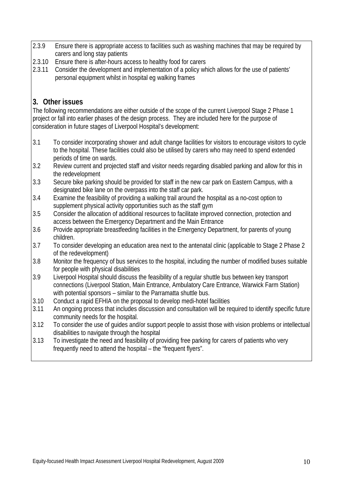- 2.3.9 Ensure there is appropriate access to facilities such as washing machines that may be required by carers and long stay patients
- 2.3.10 Ensure there is after-hours access to healthy food for carers
- 2.3.11 Consider the development and implementation of a policy which allows for the use of patients' personal equipment whilst in hospital eg walking frames

# **3. Other issues**

The following recommendations are either outside of the scope of the current Liverpool Stage 2 Phase 1 project or fall into earlier phases of the design process. They are included here for the purpose of consideration in future stages of Liverpool Hospital's development:

- 3.1 To consider incorporating shower and adult change facilities for visitors to encourage visitors to cycle to the hospital. These facilities could also be utilised by carers who may need to spend extended periods of time on wards.
- 3.2 Review current and projected staff and visitor needs regarding disabled parking and allow for this in the redevelopment
- 3.3 Secure bike parking should be provided for staff in the new car park on Eastern Campus, with a designated bike lane on the overpass into the staff car park.
- 3.4 Examine the feasibility of providing a walking trail around the hospital as a no-cost option to supplement physical activity opportunities such as the staff gym
- 3.5 Consider the allocation of additional resources to facilitate improved connection, protection and access between the Emergency Department and the Main Entrance
- 3.6 Provide appropriate breastfeeding facilities in the Emergency Department, for parents of young children.
- 3.7 To consider developing an education area next to the antenatal clinic (applicable to Stage 2 Phase 2 of the redevelopment)
- 3.8 Monitor the frequency of bus services to the hospital, including the number of modified buses suitable for people with physical disabilities
- 3.9 Liverpool Hospital should discuss the feasibility of a regular shuttle bus between key transport connections (Liverpool Station, Main Entrance, Ambulatory Care Entrance, Warwick Farm Station) with potential sponsors – similar to the Parramatta shuttle bus.
- 3.10 Conduct a rapid EFHIA on the proposal to develop medi-hotel facilities
- 3.11 An ongoing process that includes discussion and consultation will be required to identify specific future community needs for the hospital.
- 3.12 To consider the use of guides and/or support people to assist those with vision problems or intellectual disabilities to navigate through the hospital
- 3.13 To investigate the need and feasibility of providing free parking for carers of patients who very frequently need to attend the hospital – the "frequent flyers".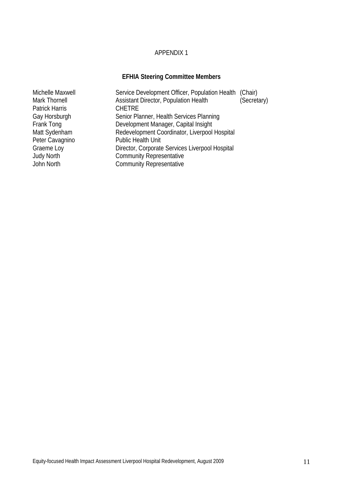### APPENDIX 1

# **EFHIA Steering Committee Members**

| Michelle Maxwell  | Service Development Officer, Population Health (Chair) |             |
|-------------------|--------------------------------------------------------|-------------|
| Mark Thornell     | Assistant Director, Population Health                  | (Secretary) |
| Patrick Harris    | <b>CHETRE</b>                                          |             |
| Gay Horsburgh     | Senior Planner, Health Services Planning               |             |
| Frank Tong        | Development Manager, Capital Insight                   |             |
| Matt Sydenham     | Redevelopment Coordinator, Liverpool Hospital          |             |
| Peter Cavagnino   | <b>Public Health Unit</b>                              |             |
| Graeme Loy        | Director, Corporate Services Liverpool Hospital        |             |
| <b>Judy North</b> | <b>Community Representative</b>                        |             |
| John North        | <b>Community Representative</b>                        |             |
|                   |                                                        |             |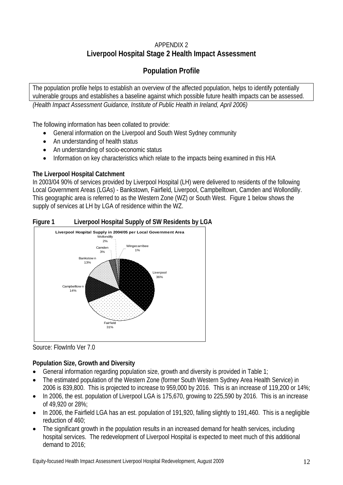# APPENDIX 2 **Liverpool Hospital Stage 2 Health Impact Assessment**

# **Population Profile**

The population profile helps to establish an overview of the affected population, helps to identify potentially vulnerable groups and establishes a baseline against which possible future health impacts can be assessed. *(Health Impact Assessment Guidance, Institute of Public Health in Ireland, April 2006)* 

The following information has been collated to provide:

- General information on the Liverpool and South West Sydney community
- An understanding of health status
- An understanding of socio-economic status
- Information on key characteristics which relate to the impacts being examined in this HIA

## **The Liverpool Hospital Catchment**

In 2003/04 90% of services provided by Liverpool Hospital (LH) were delivered to residents of the following Local Government Areas (LGAs) - Bankstown, Fairfield, Liverpool, Campbelltown, Camden and Wollondilly. This geographic area is referred to as the Western Zone (WZ) or South West. Figure 1 below shows the supply of services at LH by LGA of residence within the WZ.





Source: FlowInfo Ver 7.0

# **Population Size, Growth and Diversity**

- General information regarding population size, growth and diversity is provided in Table 1;
- The estimated population of the Western Zone (former South Western Sydney Area Health Service) in 2006 is 839,800. This is projected to increase to 959,000 by 2016. This is an increase of 119,200 or 14%;
- In 2006, the est. population of Liverpool LGA is 175,670, growing to 225,590 by 2016. This is an increase of 49,920 or 28%;
- In 2006, the Fairfield LGA has an est. population of 191,920, falling slightly to 191,460. This is a negligible reduction of 460;
- The significant growth in the population results in an increased demand for health services, including hospital services. The redevelopment of Liverpool Hospital is expected to meet much of this additional demand to 2016;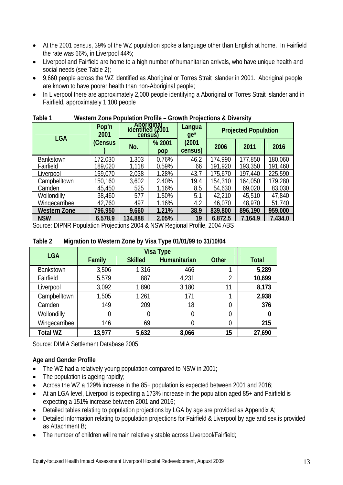- At the 2001 census, 39% of the WZ population spoke a language other than English at home. In Fairfield the rate was 66%, in Liverpool 44%;
- Liverpool and Fairfield are home to a high number of humanitarian arrivals, who have unique health and social needs (see Table 2);
- 9,660 people across the WZ identified as Aboriginal or Torres Strait Islander in 2001. Aboriginal people are known to have poorer health than non-Aboriginal people;
- In Liverpool there are approximately 2,000 people identifying a Aboriginal or Torres Strait Islander and in Fairfield, approximately 1,100 people

| <b>LGA</b>          | Pop'n<br>2001 | Aboriqinal<br>identified (2001<br>census) |               | Langua<br>$ge^*$ | <b>Projected Population</b> |         |         |  |
|---------------------|---------------|-------------------------------------------|---------------|------------------|-----------------------------|---------|---------|--|
|                     | (Census       | No.                                       | % 2001<br>pop | (2001<br>census) | 2006                        | 2011    | 2016    |  |
| <b>Bankstown</b>    | 172.030       | 1.303                                     | 0.76%         | 46.2             | 174.990                     | 77,850  | 180.060 |  |
| Fairfield           | 189,020       | 1,118                                     | 0.59%         | 66               | 191,920                     | 193,350 | 191,460 |  |
| Liverpool           | 159,070       | 2,038                                     | 1.28%         | 43.7             | 175,670                     | 197,440 | 225,590 |  |
| Campbelltown        | 150,160       | 3,602                                     | 2.40%         | 19.4             | 154,310                     | 164,050 | 179,280 |  |
| Camden              | 45,450        | 525                                       | 1.16%         | 8.5              | 54,630                      | 69,020  | 83,030  |  |
| Wollondilly         | 38,460        | 577                                       | 1.50%         | 5.1              | 42,210                      | 45,510  | 47,840  |  |
| Wingecarribee       | 42,760        | 497                                       | 1.16%         | 4.2              | 46,070                      | 48,970  | 51,740  |  |
| <b>Western Zone</b> | 796,950       | 9,660                                     | 1.21%         | 38.9             | 839,800                     | 896,190 | 959,000 |  |
| <b>NSW</b>          | 6.578.9       | 34,888                                    | 2.05%         | 19               | 6.872.5                     | 7.164.9 | 7.434.0 |  |

### **Table 1 Western Zone Population Profile – Growth Projections & Diversity**

Source: DIPNR Population Projections 2004 & NSW Regional Profile, 2004 ABS

| l able 2         | Migration to Western Zone by Visa Type 01/01/99 to 31/10/04 |                |                  |                |              |  |  |  |  |  |
|------------------|-------------------------------------------------------------|----------------|------------------|----------------|--------------|--|--|--|--|--|
| <b>LGA</b>       |                                                             |                | <b>Visa Type</b> |                |              |  |  |  |  |  |
|                  | Family                                                      | <b>Skilled</b> | Humanitarian     | <b>Other</b>   | <b>Total</b> |  |  |  |  |  |
| <b>Bankstown</b> | 3,506                                                       | 1,316          | 466              |                | 5,289        |  |  |  |  |  |
| Fairfield        | 5,579                                                       | 887            | 4,231            | $\overline{2}$ | 10,699       |  |  |  |  |  |
| Liverpool        | 3,092                                                       | 1,890          | 3,180            | 11             | 8,173        |  |  |  |  |  |
| Campbelltown     | 1,505                                                       | 1,261          | 171              |                | 2,938        |  |  |  |  |  |
| Camden           | 149                                                         | 209            | 18               | 0              | 376          |  |  |  |  |  |
| Wollondilly      | 0                                                           | 0              | $\overline{0}$   | $\overline{0}$ | $\bf{0}$     |  |  |  |  |  |
| Wingecarribee    | 146                                                         | 69             | 0                | $\overline{0}$ | 215          |  |  |  |  |  |

### **Table 2 Migration to Western Zone by Visa Type 01/01/99 to 31/10/04**

Source: DIMIA Settlement Database 2005

### **Age and Gender Profile**

- The WZ had a relatively young population compared to NSW in 2001;
- The population is ageing rapidly;
- Across the WZ a 129% increase in the 85+ population is expected between 2001 and 2016;

**Total WZ 13,977 5,632 8,066 15 27,690** 

- At an LGA level, Liverpool is expecting a 173% increase in the population aged 85+ and Fairfield is expecting a 151% increase between 2001 and 2016;
- $\bullet$  Detailed tables relating to population projections by LGA by age are provided as Appendix A;
- Detailed information relating to population projections for Fairfield & Liverpool by age and sex is provided as Attachment B;
- The number of children will remain relatively stable across Liverpool/Fairfield;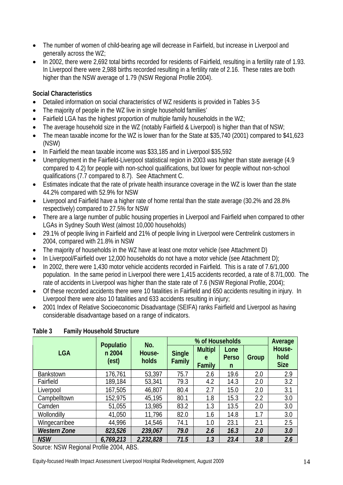- The number of women of child-bearing age will decrease in Fairfield, but increase in Liverpool and generally across the WZ;
- In 2002, there were 2,692 total births recorded for residents of Fairfield, resulting in a fertility rate of 1.93. In Liverpool there were 2,988 births recorded resulting in a fertility rate of 2.16. These rates are both higher than the NSW average of 1.79 (NSW Regional Profile 2004).

### **Social Characteristics**

- Detailed information on social characteristics of WZ residents is provided in Tables 3-5
- The majority of people in the WZ live in single household families'
- Fairfield LGA has the highest proportion of multiple family households in the WZ;
- The average household size in the WZ (notably Fairfield & Liverpool) is higher than that of NSW;
- The mean taxable income for the WZ is lower than for the State at \$35,740 (2001) compared to \$41,623 (NSW)
- In Fairfield the mean taxable income was \$33,185 and in Liverpool \$35,592
- Unemployment in the Fairfield-Liverpool statistical region in 2003 was higher than state average (4.9 compared to 4.2) for people with non-school qualifications, but lower for people without non-school qualifications (7.7 compared to 8.7). See Attachment C.
- Estimates indicate that the rate of private health insurance coverage in the WZ is lower than the state 44.2% compared with 52.9% for NSW
- Liverpool and Fairfield have a higher rate of home rental than the state average (30.2% and 28.8% respectively) compared to 27.5% for NSW
- There are a large number of public housing properties in Liverpool and Fairfield when compared to other LGAs in Sydney South West (almost 10,000 households)
- 29.1% of people living in Fairfield and 21% of people living in Liverpool were Centrelink customers in 2004, compared with 21.8% in NSW
- The majority of households in the WZ have at least one motor vehicle (see Attachment D)
- In Liverpool/Fairfield over 12,000 households do not have a motor vehicle (see Attachment D);
- In 2002, there were 1,430 motor vehicle accidents recorded in Fairfield. This is a rate of 7.6/1,000 population. In the same period in Liverpool there were 1,415 accidents recorded, a rate of 8.7/1,000. The rate of accidents in Liverpool was higher than the state rate of 7.6 (NSW Regional Profile, 2004);
- Of these recorded accidents there were 10 fatalities in Fairfield and 650 accidents resulting in injury. In Liverpool there were also 10 fatalities and 633 accidents resulting in injury;
- 2001 Index of Relative Socioeconomic Disadvantage (SEIFA) ranks Fairfield and Liverpool as having considerable disadvantage based on a range of indicators.

|                     | Populatio       | No.             |      | Average                       |                           |       |                               |
|---------------------|-----------------|-----------------|------|-------------------------------|---------------------------|-------|-------------------------------|
| <b>LGA</b>          | n 2004<br>(est) | House-<br>holds |      | <b>Multipl</b><br>e<br>Family | Lone<br><b>Perso</b><br>n | Group | House-<br>hold<br><b>Size</b> |
| <b>Bankstown</b>    | 176,761         | 53,397          | 75.7 | 2.6                           | 19.6                      | 2.0   | 2.9                           |
| Fairfield           | 189,184         | 53,341          | 79.3 | 4.2                           | 14.3                      | 2.0   | 3.2                           |
| Liverpool           | 167,505         | 46,807          | 80.4 | 2.7                           | 15.0                      | 2.0   | 3.1                           |
| Campbelltown        | 152,975         | 45,195          | 80.1 | 1.8                           | 15.3                      | 2.2   | 3.0                           |
| Camden              | 51,055          | 13,985          | 83.2 | 1.3                           | 13.5                      | 2.0   | 3.0                           |
| Wollondilly         | 41,050          | 11,796          | 82.0 | 1.6                           | 14.8                      | 1.7   | 3.0                           |
| Wingecarribee       | 44,996          | 14,546          | 74.1 | 1.0                           | 23.1                      | 2.1   | 2.5                           |
| <b>Western Zone</b> | 823,526         | 239,067         | 79.0 | 2.6                           | 16.3                      | 2.0   | 3.0                           |
| <b>NSW</b>          | 6,769,213       | 2,232,828       | 71.5 | 1.3                           | 23.4                      | 3.8   | 2.6                           |

### **Table 3 Family Household Structure**

Source: NSW Regional Profile 2004, ABS.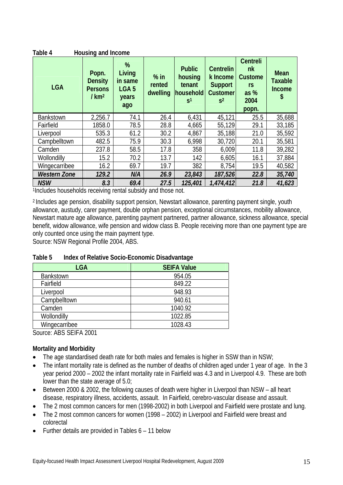| Housing and Income<br>Table 4 |                                                               |                                                            |                              |                                                                   |                                                                                     |                                                                        |                                                      |  |  |  |  |
|-------------------------------|---------------------------------------------------------------|------------------------------------------------------------|------------------------------|-------------------------------------------------------------------|-------------------------------------------------------------------------------------|------------------------------------------------------------------------|------------------------------------------------------|--|--|--|--|
| <b>LGA</b>                    | Popn.<br><b>Density</b><br><b>Persons</b><br>/km <sup>2</sup> | %<br>Living<br>in same<br>LGA <sub>5</sub><br>years<br>ago | $%$ in<br>rented<br>dwelling | <b>Public</b><br>housing<br>tenant<br>household<br>S <sup>1</sup> | <b>Centrelin</b><br>k Income<br><b>Support</b><br><b>Customer</b><br>S <sup>2</sup> | <b>Centreli</b><br>nk<br><b>Custome</b><br>rs<br>as %<br>2004<br>popn. | <b>Mean</b><br><b>Taxable</b><br><b>Income</b><br>\$ |  |  |  |  |
| <b>Bankstown</b>              | 2,256.7                                                       | 74.1                                                       | 26.4                         | 6,431                                                             | 45,121                                                                              | 25.5                                                                   | 35,688                                               |  |  |  |  |
| Fairfield                     | 1858.0                                                        | 78.5                                                       | 28.8                         | 4,665                                                             | 55,129                                                                              | 29.1                                                                   | 33,185                                               |  |  |  |  |
| Liverpool                     | 535.3                                                         | 61.2                                                       | 30.2                         | 4,867                                                             | 35,188                                                                              | 21.0                                                                   | 35,592                                               |  |  |  |  |
| Campbelltown                  | 482.5                                                         | 75.9                                                       | 30.3                         | 6,998                                                             | 30,720                                                                              | 20.1                                                                   | 35,581                                               |  |  |  |  |
| Camden                        | 237.8                                                         | 58.5                                                       | 17.8                         | 358                                                               | 6,009                                                                               | 11.8                                                                   | 39,282                                               |  |  |  |  |
| Wollondilly                   | 15.2                                                          | 70.2                                                       | 13.7                         | 142                                                               | 6,605                                                                               | 16.1                                                                   | 37,884                                               |  |  |  |  |
| Wingecarribee                 | 16.2                                                          | 69.7                                                       | 19.7                         | 382                                                               | 8,754                                                                               | 19.5                                                                   | 40,582                                               |  |  |  |  |
| <b>Western Zone</b>           | 129.2                                                         | N/A                                                        | 26.9                         | 23,843                                                            | 187,526                                                                             | 22.8                                                                   | 35,740                                               |  |  |  |  |
| <b>NSW</b>                    | 8.3                                                           | 69.4                                                       | 27.5                         | 125,401                                                           | 1,474,412                                                                           | 21.8                                                                   | 41,623                                               |  |  |  |  |

1Includes households receiving rental subsidy and those not.

2 Includes age pension, disability support pension, Newstart allowance, parenting payment single, youth allowance, austudy, carer payment, double orphan pension, exceptional circumstances, mobility allowance, Newstart mature age allowance, parenting payment partnered, partner allowance, sickness allowance, special benefit, widow allowance, wife pension and widow class B. People receiving more than one payment type are only counted once using the main payment type.

Source: NSW Regional Profile 2004, ABS.

| Table 5 | Index of Relative Socio-Economic Disadvantage |
|---------|-----------------------------------------------|
|---------|-----------------------------------------------|

| LGA              | <b>SEIFA Value</b> |
|------------------|--------------------|
| <b>Bankstown</b> | 954.05             |
| Fairfield        | 849.22             |
| Liverpool        | 948.93             |
| Campbelltown     | 940.61             |
| Camden           | 1040.92            |
| Wollondilly      | 1022.85            |
| Wingecarribee    | 1028.43            |

Source: ABS SEIFA 2001

### **Mortality and Morbidity**

- The age standardised death rate for both males and females is higher in SSW than in NSW;
- The infant mortality rate is defined as the number of deaths of children aged under 1 year of age. In the 3 year period 2000 – 2002 the infant mortality rate in Fairfield was 4.3 and in Liverpool 4.9. These are both lower than the state average of 5.0;
- Between 2000 & 2002, the following causes of death were higher in Liverpool than NSW all heart disease, respiratory illness, accidents, assault. In Fairfield, cerebro-vascular disease and assault.
- The 2 most common cancers for men (1998-2002) in both Liverpool and Fairfield were prostate and lung.
- The 2 most common cancers for women (1998 2002) in Liverpool and Fairfield were breast and colorectal
- Further details are provided in Tables 6 11 below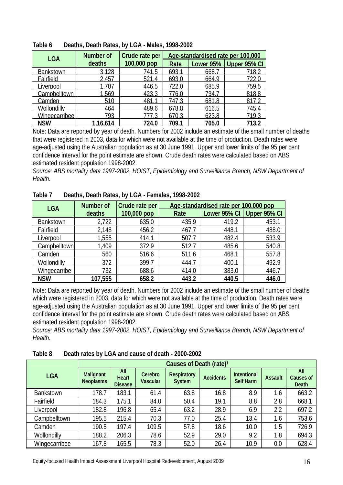| <b>LGA</b>       | <b>Number of</b> | Crude rate per | Age-standardised rate per 100,000 |           |              |  |  |
|------------------|------------------|----------------|-----------------------------------|-----------|--------------|--|--|
|                  | deaths           | 100,000 pop    | Rate                              | Lower 95% | Upper 95% CI |  |  |
| <b>Bankstown</b> | 3.128            | 741.5          | 693.1                             | 668.7     | 718.2        |  |  |
| Fairfield        | 2.457            | 521.4          | 693.0                             | 664.9     | 722.0        |  |  |
| iverpool         | 1.707            | 446.5          | 722.0                             | 685.9     | 759.5        |  |  |
| Campbelltown     | 1.569            | 423.3          | 776.0                             | 734.7     | 818.8        |  |  |
| Camden           | 510              | 481.           | 747.3                             | 681.8     | 817          |  |  |
| Wollondilly      | 464              | 489.6          | 678.8                             | 616.5     | 745.4        |  |  |
| Wingecarribee    | 793              |                | 670.3                             | 623.8     | 719.3        |  |  |
| <b>NSW</b>       | 1,16,614         | 724.0          | 709.1                             | 705.0     | 713.2        |  |  |

**Table 6 Deaths, Death Rates, by LGA - Males, 1998-2002** 

Note: Data are reported by year of death. Numbers for 2002 include an estimate of the small number of deaths that were registered in 2003, data for which were not available at the time of production. Death rates were age-adjusted using the Australian population as at 30 June 1991. Upper and lower limits of the 95 per cent confidence interval for the point estimate are shown. Crude death rates were calculated based on ABS estimated resident population 1998-2002.

*Source: ABS mortality data 1997-2002, HOIST, Epidemiology and Surveillance Branch, NSW Department of Health.* 

| <b>LGA</b>       | Number of | Crude rate per |       | Age-standardised rate per 100,000 pop |              |
|------------------|-----------|----------------|-------|---------------------------------------|--------------|
|                  | deaths    | 100,000 pop    | Rate  | Lower 95% CI                          | Upper 95% CI |
| <b>Bankstown</b> | 2,722     | 635.0          | 435.9 | 419.2                                 | 453.1        |
| Fairfield        | 2,148     | 456.2          | 467.7 | 448.1                                 | 488.0        |
| Liverpool        | 1,555     | 414.1          | 507.7 | 482.4                                 | 533.9        |
| Campbelltown     | 1,409     | 372.9          | 512.7 | 485.6                                 | 540.8        |
| Camden           | 560       | 516.6          | 511.6 | 468.1                                 | 557.8        |
| Wollondilly      | 372       | 399.7          | 444.7 | 400.1                                 | 492.9        |
| Wingecarribe     | 732       | 688.6          | 414.0 | 383.0                                 | 446.7        |
| <b>NSW</b>       | 107,555   | 658.2          | 443.2 | 440.5                                 | 446.0        |

**Table 7 Deaths, Death Rates, by LGA - Females, 1998-2002** 

Note: Data are reported by year of death. Numbers for 2002 include an estimate of the small number of deaths which were registered in 2003, data for which were not available at the time of production. Death rates were age-adjusted using the Australian population as at 30 June 1991. Upper and lower limits of the 95 per cent confidence interval for the point estimate are shown. Crude death rates were calculated based on ABS estimated resident population 1998-2002.

*Source: ABS mortality data 1997-2002, HOIST, Epidemiology and Surveillance Branch, NSW Department of Health.* 

|                  |                                      | Causes of Death (rate) <sup>1</sup> |                     |                                     |                  |                                 |         |                           |  |  |  |
|------------------|--------------------------------------|-------------------------------------|---------------------|-------------------------------------|------------------|---------------------------------|---------|---------------------------|--|--|--|
| <b>LGA</b>       | <b>Malignant</b><br><b>Neoplasms</b> | All<br>Heart<br><b>Disease</b>      | Cerebro<br>Vascular | <b>Respiratory</b><br><b>System</b> | <b>Accidents</b> | <b>Intentional</b><br>Self Harm | Assault | All<br>Causes of<br>Death |  |  |  |
| <b>Bankstown</b> | 178.7                                | 183.1                               | 61.4                | 63.8                                | 16.8             | 8.9                             | 1.6     | 663.2                     |  |  |  |
| Fairfield        | 184.3                                | 175.1                               | 84.0                | 50.4                                | 19.1             | 8.8                             | 2.8     | 668.1                     |  |  |  |
| Liverpool        | 182.8                                | 196.8                               | 65.4                | 63.2                                | 28.9             | 6.9                             | 2.2     | 697.2                     |  |  |  |
| Campbelltown     | 195.5                                | 215.4                               | 70.3                | 77.0                                | 25.4             | 13.4                            | 1.6     | 753.6                     |  |  |  |
| Camden           | 190.5                                | 197.4                               | 109.5               | 57.8                                | 18.6             | 10.0                            | 1.5     | 726.9                     |  |  |  |
| Wollondilly      | 188.2                                | 206.3                               | 78.6                | 52.9                                | 29.0             | 9.2                             | 1.8     | 694.3                     |  |  |  |
| Wingecarribee    | 167.8                                | 165.5                               | 78.3                | 52.0                                | 26.4             | 10.9                            | 0.0     | 628.4                     |  |  |  |

**Table 8 Death rates by LGA and cause of death - 2000-2002**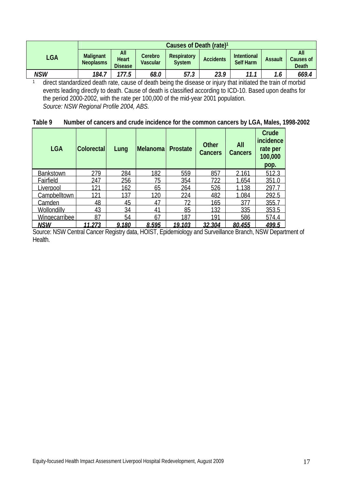| LGA | <b>Malignant</b><br><b>Neoplasms</b> | All<br>Heart<br><b>Disease</b> | Cerebro<br><b>Vascular</b> | <b>Respiratory</b><br><b>System</b> | <b>Accidents</b> | <b>Intentional</b><br>Self Harm | <b>Assault</b> | All<br>Causes of<br>Death |
|-----|--------------------------------------|--------------------------------|----------------------------|-------------------------------------|------------------|---------------------------------|----------------|---------------------------|
| NSW | 184.7                                | 177.5                          | 68.0                       | 57.3                                | 23.9             | 11.1                            |                | 669.4                     |

<sup>1</sup> direct standardized death rate, cause of death being the disease or injury that initiated the train of morbid events leading directly to death. Cause of death is classified according to ICD-10. Based upon deaths for the period 2000-2002, with the rate per 100,000 of the mid-year 2001 population.  *Source: NSW Regional Profile 2004, ABS.* 

| Table 9 | Number of cancers and crude incidence for the common cancers by LGA, Males, 1998-2002 |  |  |
|---------|---------------------------------------------------------------------------------------|--|--|
|---------|---------------------------------------------------------------------------------------|--|--|

| <b>LGA</b>           | <b>Colorectal</b> | Lung  | Melanoma | <b>Prostate</b> | <b>Other</b><br>Cancers | All<br><b>Cancers</b> | Crude<br>incidence<br>rate per<br>100,000<br>pop. |
|----------------------|-------------------|-------|----------|-----------------|-------------------------|-----------------------|---------------------------------------------------|
| <b>Bankstown</b>     | 279               | 284   | 182      | 559             | 857                     | 2.161                 | 512.3                                             |
| Fairfield            | 247               | 256   | 75       | 354             | 722                     | 1,654                 | 351.0                                             |
| <b>Liverpool</b>     | 121               | 162   | 65       | 264             | 526                     | 1,138                 | 297.7                                             |
| Campbelltown         | 121               | 137   | 120      | 224             | 482                     | 1,084                 | 292.5                                             |
| Camden               | 48                | 45    | 47       | 72              | 165                     | 377                   | 355.7                                             |
| Wollondilly          | 43                | 34    | 41       | 85              | 132                     | 335                   | 353.5                                             |
| <b>Wingecarribee</b> | 87                | 54    | 67       | 187             | 191                     | 586                   | 574.4                                             |
| <b>NSW</b>           | 11.273            | 9.180 | 8.595    | 19.103          | 32.304                  | 80.455                | 499.5                                             |

Source: NSW Central Cancer Registry data, HOIST, Epidemiology and Surveillance Branch, NSW Department of Health.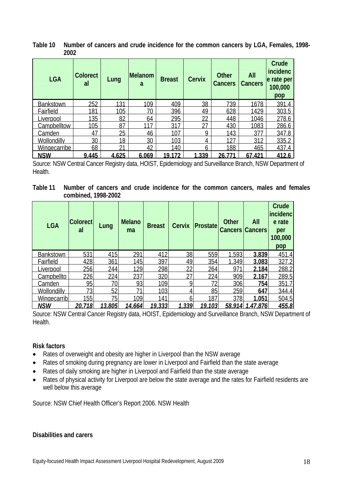**Table 10 Number of cancers and crude incidence for the common cancers by LGA, Females, 1998- 2002** 

| <b>LGA</b>          | <b>Colorect</b><br>al | Lung  | <b>Melanom</b><br>a | <b>Breast</b>   | <b>Cervix</b> | <b>Other</b><br><b>Cancers</b> | All<br><b>Cancers</b> | Crude<br>incidenc<br>e rate per<br>100,000<br>pop |
|---------------------|-----------------------|-------|---------------------|-----------------|---------------|--------------------------------|-----------------------|---------------------------------------------------|
| <b>Bankstown</b>    | 252                   | 131   | 109                 | 409             | 38            | 739                            | 1678                  | 391.4                                             |
| Fairfield           | 181                   | 105   | 70                  | 396             | 49            | 628                            | 1429                  | 303.5                                             |
| Liverpool           | 135                   | 82    | 64                  | 295             | 22            | 448                            | 1046                  | 278.6                                             |
| Campbelltow         | 105                   | 87    | 117                 | 317             | 27            | 430                            | 1083                  | 286.6                                             |
| <b>Camden</b>       | 47                    | 25    | 46                  | 107             | Q             | 143                            | 377                   | 347.8                                             |
| Wollondilly         | 30                    | 18    | 30                  | 103             | 4             | 127                            | 312                   | 335.2                                             |
| <b>Wingecarribe</b> | 68                    | 21    | 42                  | 140             | <sub>6</sub>  | 188                            | 465                   | 437.4                                             |
| <b>NSW</b>          | 9.445                 | 4.625 | 6.069               | 19 <sub>1</sub> | .339          | 26.77                          | 67.421                | 412.6                                             |

Source: NSW Central Cancer Registry data, HOIST, Epidemiology and Surveillance Branch, NSW Department of Health.

| Table 11 Number of cancers and crude incidence for the common cancers, males and females |  |  |  |  |  |  |
|------------------------------------------------------------------------------------------|--|--|--|--|--|--|
| combined, 1998-2002                                                                      |  |  |  |  |  |  |

| <b>LGA</b>         | <b>Colorect</b><br>al | Lung   | <b>Melano</b><br>ma | <b>Breast</b> | <b>Cervix</b> | <b>Prostate</b> | <b>Other</b> | All<br><b>Cancers Cancers</b> | Crude<br>incidenc<br>e rate<br>per<br>100,000<br>pop |
|--------------------|-----------------------|--------|---------------------|---------------|---------------|-----------------|--------------|-------------------------------|------------------------------------------------------|
| <b>Bankstown</b>   | 531                   | 415    | 291                 | 412           | 38            | 559             | 1.593        | 3.839                         | 451.4                                                |
| Fairfield          | 428                   | 361    | 145                 | 397           | 49            | 354             | 1.349        | 3.083                         | 327.2                                                |
| Liverpool          | 256                   | 244    | 129                 | 298           | 22            | 264             | 971          | 2.184                         | 288.2                                                |
| Campbellto         | 226                   | 224    | 237                 | 320           | າ=            | 224             | 909          | 2.167                         | 289.5                                                |
| Camden             | 95                    | 70     | 93                  | 109           |               | 72              | 306          | 754                           | 351.7                                                |
| <b>Wollondilly</b> | 73                    | 52     | 71                  | 103           |               | 85              | 259          | 647                           | 344.4                                                |
| Wingecarrib        | 155                   | 75     | 109                 | 141           |               | 187             | 378          | 1.051                         | 504.5                                                |
| <u>NSW</u>         | 20,718                | 13,805 | 14.664              | 19,333        | 1.339         | 19,103          | 58.914       | 1.47.876                      | 455.8                                                |

Source: NSW Central Cancer Registry data, HOIST, Epidemiology and Surveillance Branch, NSW Department of Health.

#### **Risk factors**

- Rates of overweight and obesity are higher in Liverpool than the NSW average
- Rates of smoking during pregnancy are lower in Liverpool and Fairfield than the state average
- Rates of daily smoking are higher in Liverpool and Fairfield than the state average
- Rates of physical activity for Liverpool are below the state average and the rates for Fairfield residents are well below this average

Source: NSW Chief Health Officer's Report 2006. NSW Health

#### **Disabilities and carers**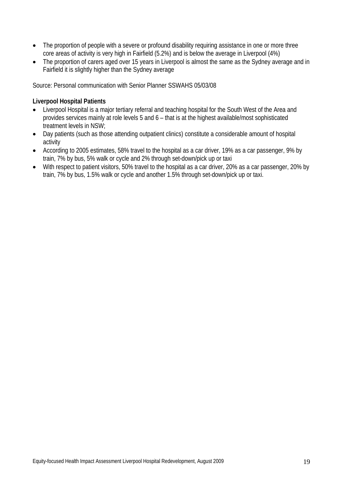- The proportion of people with a severe or profound disability requiring assistance in one or more three core areas of activity is very high in Fairfield (5.2%) and is below the average in Liverpool (4%)
- The proportion of carers aged over 15 years in Liverpool is almost the same as the Sydney average and in Fairfield it is slightly higher than the Sydney average

Source: Personal communication with Senior Planner SSWAHS 05/03/08

#### **Liverpool Hospital Patients**

- Liverpool Hospital is a major tertiary referral and teaching hospital for the South West of the Area and provides services mainly at role levels 5 and 6 – that is at the highest available/most sophisticated treatment levels in NSW;
- Day patients (such as those attending outpatient clinics) constitute a considerable amount of hospital activity
- According to 2005 estimates, 58% travel to the hospital as a car driver, 19% as a car passenger, 9% by train, 7% by bus, 5% walk or cycle and 2% through set-down/pick up or taxi
- With respect to patient visitors, 50% travel to the hospital as a car driver, 20% as a car passenger, 20% by train, 7% by bus, 1.5% walk or cycle and another 1.5% through set-down/pick up or taxi.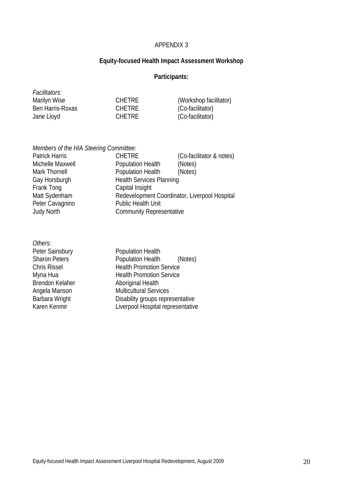### APPENDIX 3

### **Equity-focused Health Impact Assessment Workshop**

### **Participants:**

| <i>Facilitators:</i> |               |                        |
|----------------------|---------------|------------------------|
| Marilyn Wise         | <b>CHETRE</b> | (Workshop facilitator) |
| Ben Harris-Roxas     | <b>CHETRE</b> | (Co-facilitator)       |
| Jane Lloyd           | <b>CHETRE</b> | (Co-facilitator)       |

*Members of the HIA Steering Committee:* 

| <b>Patrick Harris</b> | <b>CHETRE</b>                                 | (Co-facilitator & notes) |
|-----------------------|-----------------------------------------------|--------------------------|
| Michelle Maxwell      | Population Health                             | (Notes)                  |
| Mark Thornell         | Population Health                             | (Notes)                  |
| Gay Horsburgh         | <b>Health Services Planning</b>               |                          |
| Frank Tong            | Capital Insight                               |                          |
| Matt Sydenham         | Redevelopment Coordinator, Liverpool Hospital |                          |
| Peter Cavagnino       | Public Health Unit                            |                          |
| <b>Judy North</b>     | <b>Community Representative</b>               |                          |
|                       |                                               |                          |

| Others:              |                                   |
|----------------------|-----------------------------------|
| Peter Sainsbury      | <b>Population Health</b>          |
| <b>Sharon Peters</b> | Population Health<br>(Notes)      |
| <b>Chris Rissel</b>  | <b>Health Promotion Service</b>   |
| Myna Hua             | <b>Health Promotion Service</b>   |
| Brendon Kelaher      | <b>Aboriginal Health</b>          |
| Angela Manson        | <b>Multicultural Services</b>     |
| Barbara Wright       | Disability groups representative  |
| Karen Kenmir         | Liverpool Hospital representative |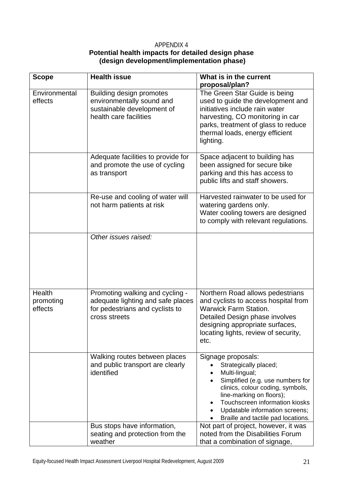### APPENDIX 4 **Potential health impacts for detailed design phase (design development/implementation phase)**

| <b>Scope</b>                   | <b>Health issue</b>                                                                                                      | What is in the current                                                                                                                                                                                                                                                      |
|--------------------------------|--------------------------------------------------------------------------------------------------------------------------|-----------------------------------------------------------------------------------------------------------------------------------------------------------------------------------------------------------------------------------------------------------------------------|
|                                |                                                                                                                          | proposal/plan?                                                                                                                                                                                                                                                              |
| Environmental<br>effects       | <b>Building design promotes</b><br>environmentally sound and<br>sustainable development of<br>health care facilities     | The Green Star Guide is being<br>used to guide the development and<br>initiatives include rain water<br>harvesting, CO monitoring in car<br>parks, treatment of glass to reduce<br>thermal loads, energy efficient<br>lighting.                                             |
|                                | Adequate facilities to provide for<br>and promote the use of cycling<br>as transport                                     | Space adjacent to building has<br>been assigned for secure bike<br>parking and this has access to<br>public lifts and staff showers.                                                                                                                                        |
|                                | Re-use and cooling of water will<br>not harm patients at risk                                                            | Harvested rainwater to be used for<br>watering gardens only.<br>Water cooling towers are designed<br>to comply with relevant regulations.                                                                                                                                   |
|                                | Other issues raised:                                                                                                     |                                                                                                                                                                                                                                                                             |
| Health<br>promoting<br>effects | Promoting walking and cycling -<br>adequate lighting and safe places<br>for pedestrians and cyclists to<br>cross streets | Northern Road allows pedestrians<br>and cyclists to access hospital from<br><b>Warwick Farm Station.</b><br>Detailed Design phase involves<br>designing appropriate surfaces,<br>locating lights, review of security,<br>etc.                                               |
|                                | Walking routes between places<br>and public transport are clearly<br>identified                                          | Signage proposals:<br>Strategically placed;<br>Multi-lingual;<br>Simplified (e.g. use numbers for<br>clinics, colour coding, symbols,<br>line-marking on floors);<br>Touchscreen information kiosks<br>Updatable information screens;<br>Braille and tactile pad locations. |
|                                | Bus stops have information,<br>seating and protection from the<br>weather                                                | Not part of project, however, it was<br>noted from the Disabilities Forum<br>that a combination of signage,                                                                                                                                                                 |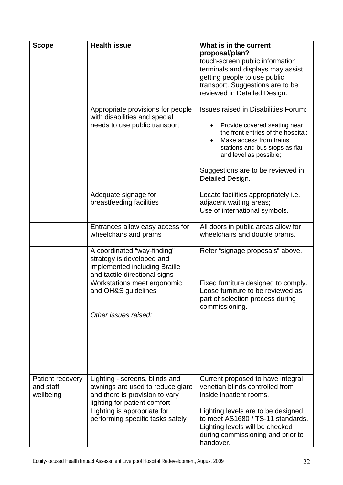| <b>Scope</b>                               | <b>Health issue</b>                                                                                                                  | What is in the current                                                                                                                                                                                                                                            |
|--------------------------------------------|--------------------------------------------------------------------------------------------------------------------------------------|-------------------------------------------------------------------------------------------------------------------------------------------------------------------------------------------------------------------------------------------------------------------|
|                                            |                                                                                                                                      | proposal/plan?<br>touch-screen public information<br>terminals and displays may assist<br>getting people to use public<br>transport. Suggestions are to be<br>reviewed in Detailed Design.                                                                        |
|                                            | Appropriate provisions for people<br>with disabilities and special<br>needs to use public transport                                  | <b>Issues raised in Disabilities Forum:</b><br>Provide covered seating near<br>the front entries of the hospital;<br>Make access from trains<br>stations and bus stops as flat<br>and level as possible;<br>Suggestions are to be reviewed in<br>Detailed Design. |
|                                            | Adequate signage for<br>breastfeeding facilities                                                                                     | Locate facilities appropriately i.e.<br>adjacent waiting areas;<br>Use of international symbols.                                                                                                                                                                  |
|                                            | Entrances allow easy access for<br>wheelchairs and prams                                                                             | All doors in public areas allow for<br>wheelchairs and double prams.                                                                                                                                                                                              |
|                                            | A coordinated "way-finding"<br>strategy is developed and<br>implemented including Braille<br>and tactile directional signs           | Refer "signage proposals" above.                                                                                                                                                                                                                                  |
|                                            | Workstations meet ergonomic<br>and OH&S guidelines                                                                                   | Fixed furniture designed to comply.<br>Loose furniture to be reviewed as<br>part of selection process during<br>commissioning.                                                                                                                                    |
|                                            | Other issues raised:                                                                                                                 |                                                                                                                                                                                                                                                                   |
| Patient recovery<br>and staff<br>wellbeing | Lighting - screens, blinds and<br>awnings are used to reduce glare<br>and there is provision to vary<br>lighting for patient comfort | Current proposed to have integral<br>venetian blinds controlled from<br>inside inpatient rooms.                                                                                                                                                                   |
|                                            | Lighting is appropriate for<br>performing specific tasks safely                                                                      | Lighting levels are to be designed<br>to meet AS1680 / TS-11 standards.<br>Lighting levels will be checked<br>during commissioning and prior to<br>handover.                                                                                                      |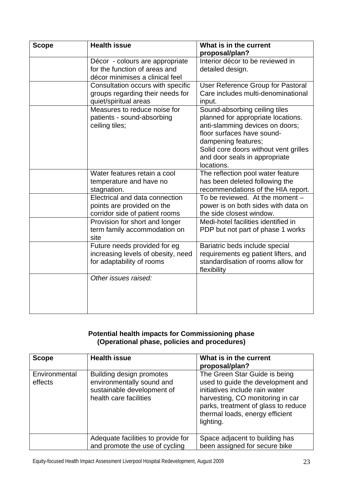| <b>Scope</b> | <b>Health issue</b>                                                                                 | What is in the current<br>proposal/plan?                                                                                                                                                                                                            |
|--------------|-----------------------------------------------------------------------------------------------------|-----------------------------------------------------------------------------------------------------------------------------------------------------------------------------------------------------------------------------------------------------|
|              | Décor - colours are appropriate<br>for the function of areas and<br>décor minimises a clinical feel | Interior décor to be reviewed in<br>detailed design.                                                                                                                                                                                                |
|              | Consultation occurs with specific<br>groups regarding their needs for<br>quiet/spiritual areas      | User Reference Group for Pastoral<br>Care includes multi-denominational<br>input.                                                                                                                                                                   |
|              | Measures to reduce noise for<br>patients - sound-absorbing<br>ceiling tiles;                        | Sound-absorbing ceiling tiles<br>planned for appropriate locations.<br>anti-slamming devices on doors;<br>floor surfaces have sound-<br>dampening features;<br>Solid core doors without vent grilles<br>and door seals in appropriate<br>locations. |
|              | Water features retain a cool<br>temperature and have no<br>stagnation.                              | The reflection pool water feature<br>has been deleted following the<br>recommendations of the HIA report.                                                                                                                                           |
|              | Electrical and data connection<br>points are provided on the<br>corridor side of patient rooms      | To be reviewed. At the moment -<br>power is on both sides with data on<br>the side closest window.                                                                                                                                                  |
|              | Provision for short and longer<br>term family accommodation on<br>site                              | Medi-hotel facilities identified in<br>PDP but not part of phase 1 works                                                                                                                                                                            |
|              | Future needs provided for eg<br>increasing levels of obesity, need<br>for adaptability of rooms     | Bariatric beds include special<br>requirements eg patient lifters, and<br>standardisation of rooms allow for<br>flexibility                                                                                                                         |
|              | Other issues raised:                                                                                |                                                                                                                                                                                                                                                     |

### **Potential health impacts for Commissioning phase (Operational phase, policies and procedures)**

| <b>Scope</b>             | <b>Health issue</b>                                                                                           | What is in the current<br>proposal/plan?                                                                                                                                                                                        |
|--------------------------|---------------------------------------------------------------------------------------------------------------|---------------------------------------------------------------------------------------------------------------------------------------------------------------------------------------------------------------------------------|
| Environmental<br>effects | Building design promotes<br>environmentally sound and<br>sustainable development of<br>health care facilities | The Green Star Guide is being<br>used to guide the development and<br>initiatives include rain water<br>harvesting, CO monitoring in car<br>parks, treatment of glass to reduce<br>thermal loads, energy efficient<br>lighting. |
|                          | Adequate facilities to provide for<br>and promote the use of cycling                                          | Space adjacent to building has<br>been assigned for secure bike                                                                                                                                                                 |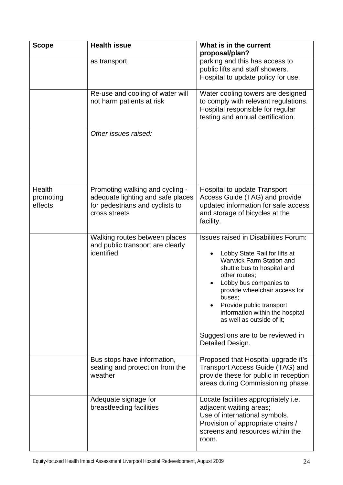| <b>Scope</b>                   | <b>Health issue</b>                                                                                                      | What is in the current<br>proposal/plan?                                                                                                                                                                                                                                                                                                                                           |  |  |  |
|--------------------------------|--------------------------------------------------------------------------------------------------------------------------|------------------------------------------------------------------------------------------------------------------------------------------------------------------------------------------------------------------------------------------------------------------------------------------------------------------------------------------------------------------------------------|--|--|--|
|                                | as transport                                                                                                             | parking and this has access to<br>public lifts and staff showers.<br>Hospital to update policy for use.                                                                                                                                                                                                                                                                            |  |  |  |
|                                | Re-use and cooling of water will<br>not harm patients at risk                                                            | Water cooling towers are designed<br>to comply with relevant regulations.<br>Hospital responsible for regular<br>testing and annual certification.                                                                                                                                                                                                                                 |  |  |  |
|                                | Other issues raised:                                                                                                     |                                                                                                                                                                                                                                                                                                                                                                                    |  |  |  |
| Health<br>promoting<br>effects | Promoting walking and cycling -<br>adequate lighting and safe places<br>for pedestrians and cyclists to<br>cross streets | <b>Hospital to update Transport</b><br>Access Guide (TAG) and provide<br>updated information for safe access<br>and storage of bicycles at the<br>facility.                                                                                                                                                                                                                        |  |  |  |
|                                | Walking routes between places<br>and public transport are clearly<br>identified                                          | <b>Issues raised in Disabilities Forum:</b><br>Lobby State Rail for lifts at<br>Warwick Farm Station and<br>shuttle bus to hospital and<br>other routes;<br>Lobby bus companies to<br>provide wheelchair access for<br>buses;<br>Provide public transport<br>information within the hospital<br>as well as outside of it;<br>Suggestions are to be reviewed in<br>Detailed Design. |  |  |  |
|                                | Bus stops have information,<br>seating and protection from the<br>weather                                                | Proposed that Hospital upgrade it's<br>Transport Access Guide (TAG) and<br>provide these for public in reception<br>areas during Commissioning phase.                                                                                                                                                                                                                              |  |  |  |
|                                | Adequate signage for<br>breastfeeding facilities                                                                         | Locate facilities appropriately i.e.<br>adjacent waiting areas;<br>Use of international symbols.<br>Provision of appropriate chairs /<br>screens and resources within the<br>room.                                                                                                                                                                                                 |  |  |  |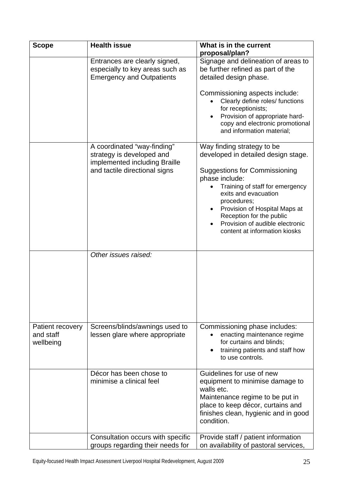| <b>Scope</b>                               | <b>Health issue</b>                                                                                                        | What is in the current                                                                                                                                                                                                                                                                                                                 |  |  |  |
|--------------------------------------------|----------------------------------------------------------------------------------------------------------------------------|----------------------------------------------------------------------------------------------------------------------------------------------------------------------------------------------------------------------------------------------------------------------------------------------------------------------------------------|--|--|--|
|                                            |                                                                                                                            | proposal/plan?                                                                                                                                                                                                                                                                                                                         |  |  |  |
|                                            | Entrances are clearly signed,<br>especially to key areas such as<br><b>Emergency and Outpatients</b>                       | Signage and delineation of areas to<br>be further refined as part of the<br>detailed design phase.                                                                                                                                                                                                                                     |  |  |  |
|                                            |                                                                                                                            | Commissioning aspects include:<br>Clearly define roles/ functions<br>for receptionists;<br>Provision of appropriate hard-<br>copy and electronic promotional<br>and information material;                                                                                                                                              |  |  |  |
|                                            | A coordinated "way-finding"<br>strategy is developed and<br>implemented including Braille<br>and tactile directional signs | Way finding strategy to be<br>developed in detailed design stage.<br><b>Suggestions for Commissioning</b><br>phase include:<br>Training of staff for emergency<br>exits and evacuation<br>procedures;<br>Provision of Hospital Maps at<br>Reception for the public<br>Provision of audible electronic<br>content at information kiosks |  |  |  |
|                                            | Other issues raised:                                                                                                       |                                                                                                                                                                                                                                                                                                                                        |  |  |  |
| Patient recovery<br>and staff<br>wellbeing | Screens/blinds/awnings used to<br>lessen glare where appropriate                                                           | Commissioning phase includes:<br>enacting maintenance regime<br>for curtains and blinds;<br>training patients and staff how<br>to use controls.                                                                                                                                                                                        |  |  |  |
|                                            | Décor has been chose to<br>minimise a clinical feel                                                                        | Guidelines for use of new<br>equipment to minimise damage to<br>walls etc.<br>Maintenance regime to be put in<br>place to keep décor, curtains and<br>finishes clean, hygienic and in good<br>condition.                                                                                                                               |  |  |  |
|                                            | Consultation occurs with specific<br>groups regarding their needs for                                                      | Provide staff / patient information<br>on availability of pastoral services,                                                                                                                                                                                                                                                           |  |  |  |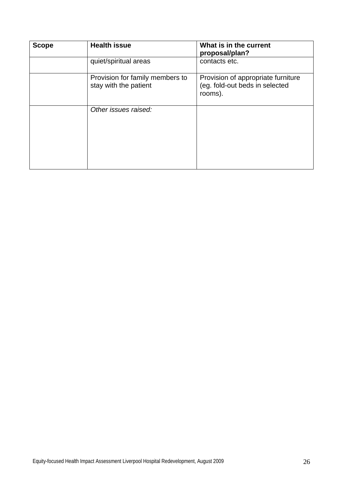| <b>Scope</b> | <b>Health issue</b>                                      | What is in the current<br>proposal/plan?                                        |  |  |  |
|--------------|----------------------------------------------------------|---------------------------------------------------------------------------------|--|--|--|
|              | quiet/spiritual areas                                    | contacts etc.                                                                   |  |  |  |
|              | Provision for family members to<br>stay with the patient | Provision of appropriate furniture<br>(eg. fold-out beds in selected<br>rooms). |  |  |  |
|              | Other issues raised:                                     |                                                                                 |  |  |  |